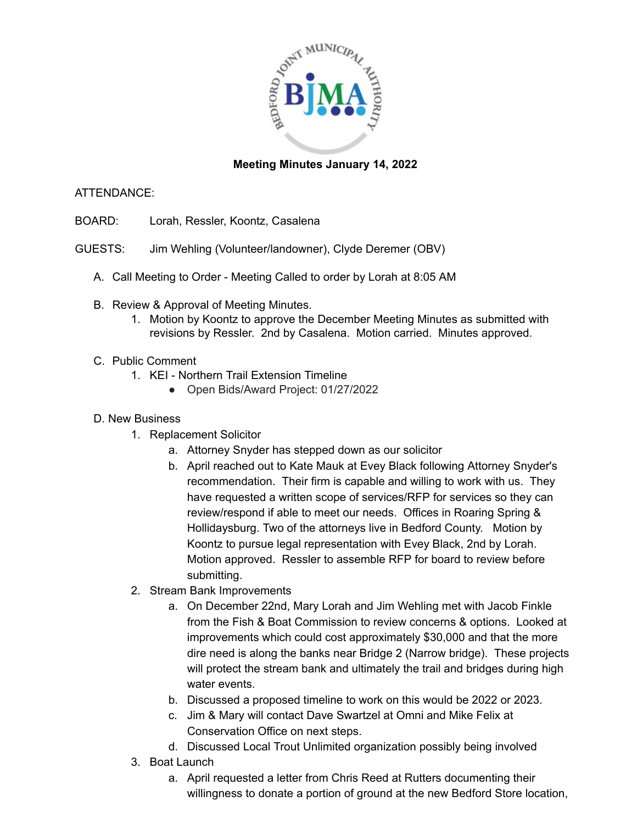

## **Meeting Minutes January 14, 2022**

## ATTENDANCE:

- BOARD: Lorah, Ressler, Koontz, Casalena
- GUESTS: Jim Wehling (Volunteer/landowner), Clyde Deremer (OBV)
	- A. Call Meeting to Order Meeting Called to order by Lorah at 8:05 AM
	- B. Review & Approval of Meeting Minutes.
		- 1. Motion by Koontz to approve the December Meeting Minutes as submitted with revisions by Ressler. 2nd by Casalena. Motion carried. Minutes approved.
	- C. Public Comment
		- 1. KEI Northern Trail Extension Timeline
			- Open Bids/Award Project: 01/27/2022

## D. New Business

- 1. Replacement Solicitor
	- a. Attorney Snyder has stepped down as our solicitor
	- b. April reached out to Kate Mauk at Evey Black following Attorney Snyder's recommendation. Their firm is capable and willing to work with us. They have requested a written scope of services/RFP for services so they can review/respond if able to meet our needs. Offices in Roaring Spring & Hollidaysburg. Two of the attorneys live in Bedford County. Motion by Koontz to pursue legal representation with Evey Black, 2nd by Lorah. Motion approved. Ressler to assemble RFP for board to review before submitting.
- 2. Stream Bank Improvements
	- a. On December 22nd, Mary Lorah and Jim Wehling met with Jacob Finkle from the Fish & Boat Commission to review concerns & options. Looked at improvements which could cost approximately \$30,000 and that the more dire need is along the banks near Bridge 2 (Narrow bridge). These projects will protect the stream bank and ultimately the trail and bridges during high water events.
	- b. Discussed a proposed timeline to work on this would be 2022 or 2023.
	- c. Jim & Mary will contact Dave Swartzel at Omni and Mike Felix at Conservation Office on next steps.
	- d. Discussed Local Trout Unlimited organization possibly being involved
- 3. Boat Launch
	- a. April requested a letter from Chris Reed at Rutters documenting their willingness to donate a portion of ground at the new Bedford Store location,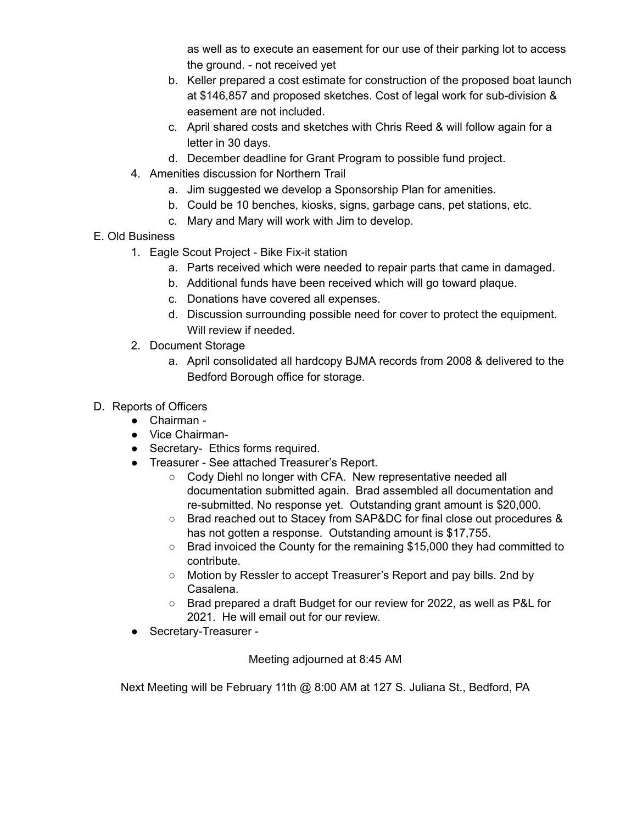as well as to execute an easement for our use of their parking lot to access the ground. - not received yet

- b. Keller prepared a cost estimate for construction of the proposed boat launch at \$146,857 and proposed sketches. Cost of legal work for sub-division & easement are not included.
- c. April shared costs and sketches with Chris Reed & will follow again for a letter in 30 days.
- d. December deadline for Grant Program to possible fund project.
- 4. Amenities discussion for Northern Trail
	- a. Jim suggested we develop a Sponsorship Plan for amenities.
	- b. Could be 10 benches, kiosks, signs, garbage cans, pet stations, etc.
	- c. Mary and Mary will work with Jim to develop.
- E. Old Business
	- 1. Eagle Scout Project Bike Fix-it station
		- a. Parts received which were needed to repair parts that came in damaged.
		- b. Additional funds have been received which will go toward plaque.
		- c. Donations have covered all expenses.
		- d. Discussion surrounding possible need for cover to protect the equipment. Will review if needed.
	- 2. Document Storage
		- a. April consolidated all hardcopy BJMA records from 2008 & delivered to the Bedford Borough office for storage.
- D. Reports of Officers
	- Chairman -
	- Vice Chairman-
	- Secretary- Ethics forms required.
	- Treasurer See attached Treasurer's Report.
		- Cody Diehl no longer with CFA. New representative needed all documentation submitted again. Brad assembled all documentation and re-submitted. No response yet. Outstanding grant amount is \$20,000.
		- Brad reached out to Stacey from SAP&DC for final close out procedures & has not gotten a response. Outstanding amount is \$17,755.
		- Brad invoiced the County for the remaining \$15,000 they had committed to contribute.
		- Motion by Ressler to accept Treasurer's Report and pay bills. 2nd by Casalena.
		- Brad prepared a draft Budget for our review for 2022, as well as P&L for 2021. He will email out for our review.
	- Secretary-Treasurer -

Meeting adjourned at 8:45 AM

Next Meeting will be February 11th @ 8:00 AM at 127 S. Juliana St., Bedford, PA